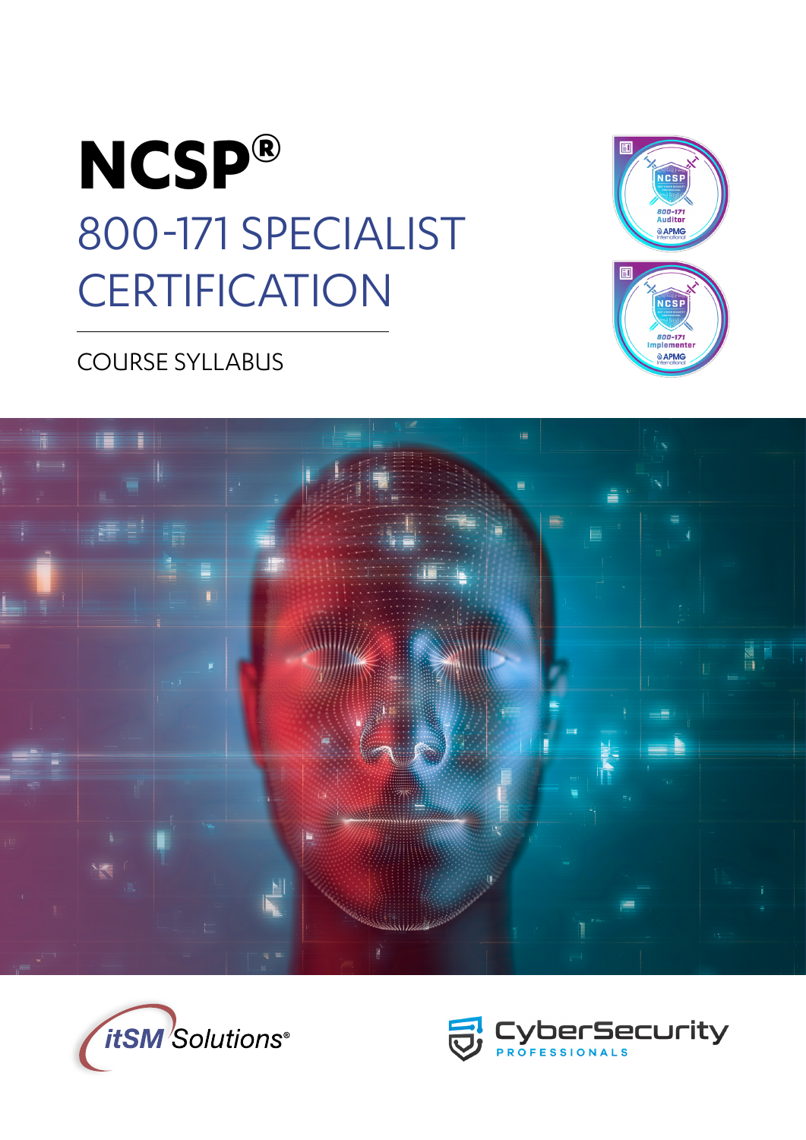



## COURSE SYLLABUS





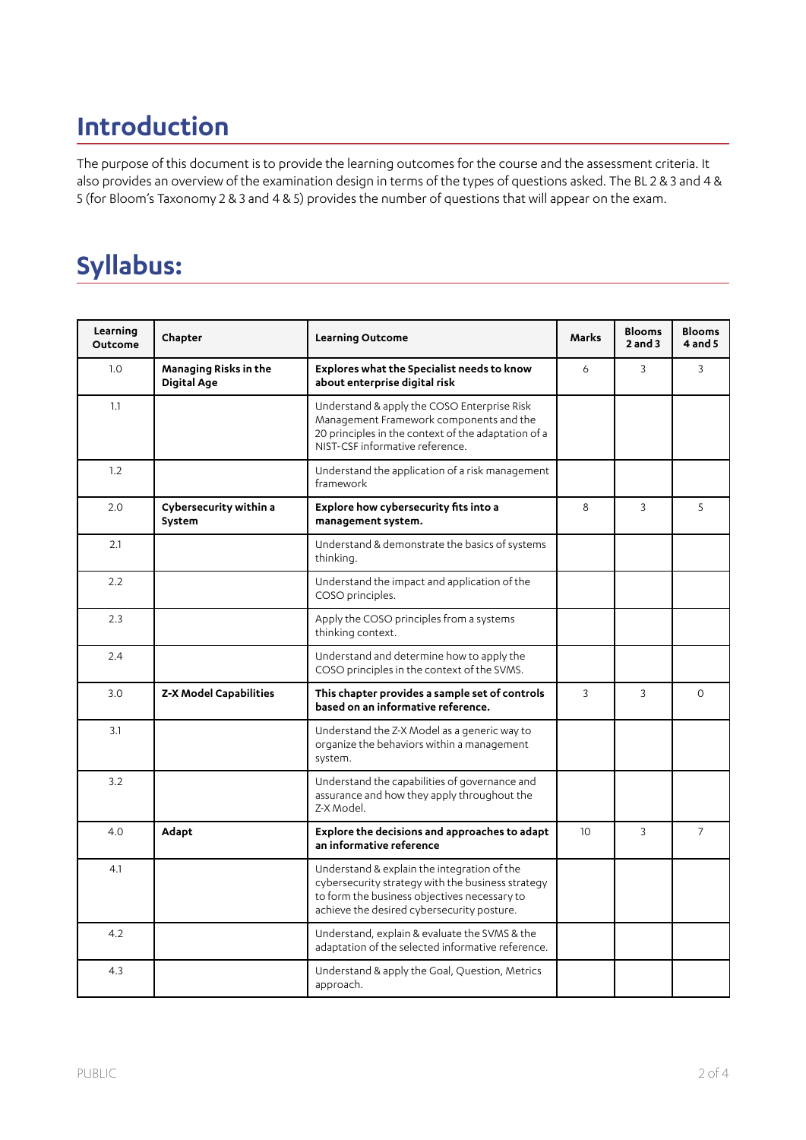# **Introduction**

The purpose of this document is to provide the learning outcomes for the course and the assessment criteria. It also provides an overview of the examination design in terms of the types of questions asked. The BL 2 & 3 and 4 & 5 (for Bloom's Taxonomy 2 & 3 and 4 & 5) provides the number of questions that will appear on the exam.

# **Syllabus:**

| Learning<br><b>Outcome</b> | Chapter                                     | <b>Learning Outcome</b>                                                                                                                                                                        | <b>Marks</b>    | <b>Blooms</b><br>$2$ and $3$ | <b>Blooms</b><br>$4$ and $5$ |
|----------------------------|---------------------------------------------|------------------------------------------------------------------------------------------------------------------------------------------------------------------------------------------------|-----------------|------------------------------|------------------------------|
| 1.0                        | Managing Risks in the<br><b>Digital Age</b> | <b>Explores what the Specialist needs to know</b><br>about enterprise digital risk                                                                                                             | 6               | $\mathbf{3}$                 | 3                            |
| 1.1                        |                                             | Understand & apply the COSO Enterprise Risk<br>Management Framework components and the<br>20 principles in the context of the adaptation of a<br>NIST-CSF informative reference.               |                 |                              |                              |
| 1.2                        |                                             | Understand the application of a risk management<br>framework                                                                                                                                   |                 |                              |                              |
| 2.0                        | Cybersecurity within a<br>System            | Explore how cybersecurity fits into a<br>management system.                                                                                                                                    | 8               | 3                            | 5                            |
| 2.1                        |                                             | Understand & demonstrate the basics of systems<br>thinking.                                                                                                                                    |                 |                              |                              |
| 2.2                        |                                             | Understand the impact and application of the<br>COSO principles.                                                                                                                               |                 |                              |                              |
| 2.3                        |                                             | Apply the COSO principles from a systems<br>thinking context.                                                                                                                                  |                 |                              |                              |
| 2.4                        |                                             | Understand and determine how to apply the<br>COSO principles in the context of the SVMS.                                                                                                       |                 |                              |                              |
| 3.0                        | Z-X Model Capabilities                      | This chapter provides a sample set of controls<br>based on an informative reference.                                                                                                           | 3               | 3                            | $\Omega$                     |
| 3.1                        |                                             | Understand the Z-X Model as a generic way to<br>organize the behaviors within a management<br>system.                                                                                          |                 |                              |                              |
| 3.2                        |                                             | Understand the capabilities of governance and<br>assurance and how they apply throughout the<br>Z-X Model.                                                                                     |                 |                              |                              |
| 4.0                        | Adapt                                       | Explore the decisions and approaches to adapt<br>an informative reference                                                                                                                      | 10 <sup>2</sup> | 3                            | $\overline{7}$               |
| 4.1                        |                                             | Understand & explain the integration of the<br>cybersecurity strategy with the business strategy<br>to form the business objectives necessary to<br>achieve the desired cybersecurity posture. |                 |                              |                              |
| 4.2                        |                                             | Understand, explain & evaluate the SVMS & the<br>adaptation of the selected informative reference.                                                                                             |                 |                              |                              |
| 4.3                        |                                             | Understand & apply the Goal, Question, Metrics<br>approach.                                                                                                                                    |                 |                              |                              |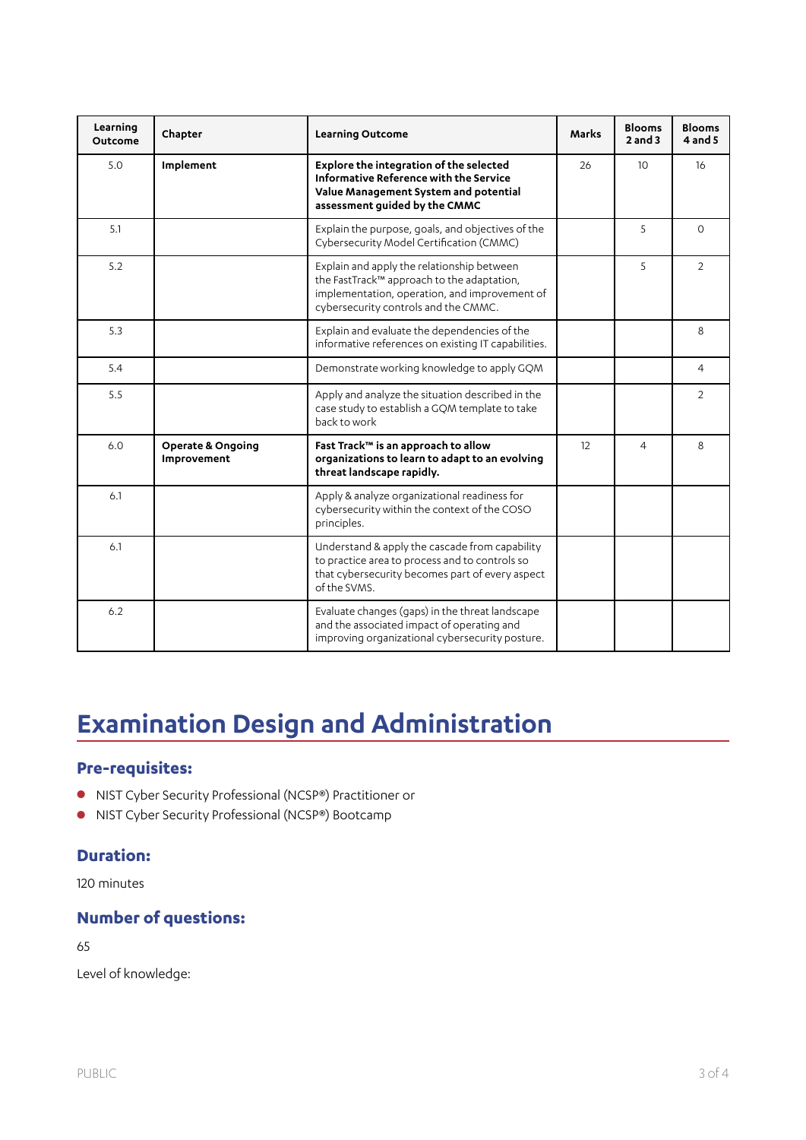| Learning<br><b>Outcome</b> | Chapter                                     | Learning Outcome                                                                                                                                                                  | <b>Marks</b> | <b>Blooms</b><br>$2$ and $3$ | <b>Blooms</b><br>$4$ and $5$ |
|----------------------------|---------------------------------------------|-----------------------------------------------------------------------------------------------------------------------------------------------------------------------------------|--------------|------------------------------|------------------------------|
| 5.0                        | Implement                                   | Explore the integration of the selected<br>Informative Reference with the Service<br>Value Management System and potential<br>assessment guided by the CMMC                       | 26           | 10                           | 16                           |
| 5.1                        |                                             | Explain the purpose, goals, and objectives of the<br>Cybersecurity Model Certification (CMMC)                                                                                     |              | 5                            | $\Omega$                     |
| 5.2                        |                                             | Explain and apply the relationship between<br>the FastTrack™ approach to the adaptation,<br>implementation, operation, and improvement of<br>cybersecurity controls and the CMMC. |              | 5                            | $\overline{2}$               |
| 5.3                        |                                             | Explain and evaluate the dependencies of the<br>informative references on existing IT capabilities.                                                                               |              |                              | 8                            |
| 5.4                        |                                             | Demonstrate working knowledge to apply GQM                                                                                                                                        |              |                              | $\overline{4}$               |
| 5.5                        |                                             | Apply and analyze the situation described in the<br>case study to establish a GQM template to take<br>back to work                                                                |              |                              | $\overline{2}$               |
| 6.0                        | <b>Operate &amp; Ongoing</b><br>Improvement | Fast Track™ is an approach to allow<br>organizations to learn to adapt to an evolving<br>threat landscape rapidly.                                                                | 12           | 4                            | 8                            |
| 6.1                        |                                             | Apply & analyze organizational readiness for<br>cybersecurity within the context of the COSO<br>principles.                                                                       |              |                              |                              |
| 6.1                        |                                             | Understand & apply the cascade from capability<br>to practice area to process and to controls so<br>that cybersecurity becomes part of every aspect<br>of the SVMS.               |              |                              |                              |
| 6.2                        |                                             | Evaluate changes (gaps) in the threat landscape<br>and the associated impact of operating and<br>improving organizational cybersecurity posture.                                  |              |                              |                              |

# **Examination Design and Administration**

### **Pre-requisites:**

- NIST Cyber Security Professional (NCSP®) Practitioner or
- NIST Cyber Security Professional (NCSP®) Bootcamp

### **Duration:**

120 minutes

### **Number of questions:**

65

Level of knowledge: